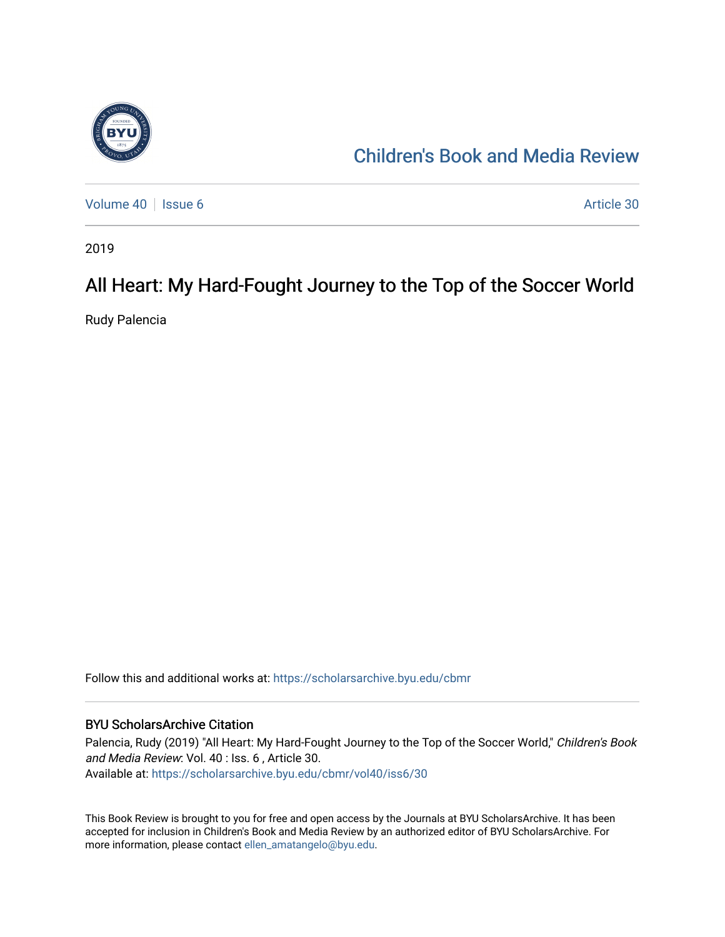

# [Children's Book and Media Review](https://scholarsarchive.byu.edu/cbmr)

[Volume 40](https://scholarsarchive.byu.edu/cbmr/vol40) | [Issue 6](https://scholarsarchive.byu.edu/cbmr/vol40/iss6) Article 30

2019

# All Heart: My Hard-Fought Journey to the Top of the Soccer World

Rudy Palencia

Follow this and additional works at: [https://scholarsarchive.byu.edu/cbmr](https://scholarsarchive.byu.edu/cbmr?utm_source=scholarsarchive.byu.edu%2Fcbmr%2Fvol40%2Fiss6%2F30&utm_medium=PDF&utm_campaign=PDFCoverPages) 

#### BYU ScholarsArchive Citation

Palencia, Rudy (2019) "All Heart: My Hard-Fought Journey to the Top of the Soccer World," Children's Book and Media Review: Vol. 40 : Iss. 6 , Article 30. Available at: [https://scholarsarchive.byu.edu/cbmr/vol40/iss6/30](https://scholarsarchive.byu.edu/cbmr/vol40/iss6/30?utm_source=scholarsarchive.byu.edu%2Fcbmr%2Fvol40%2Fiss6%2F30&utm_medium=PDF&utm_campaign=PDFCoverPages)

This Book Review is brought to you for free and open access by the Journals at BYU ScholarsArchive. It has been accepted for inclusion in Children's Book and Media Review by an authorized editor of BYU ScholarsArchive. For more information, please contact [ellen\\_amatangelo@byu.edu.](mailto:ellen_amatangelo@byu.edu)